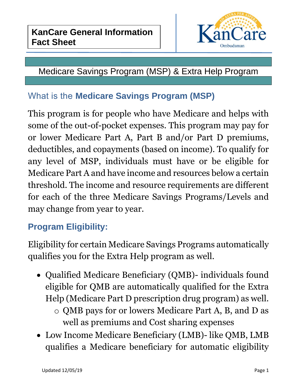

## Medicare Savings Program (MSP) & Extra Help Program

### What is the **Medicare Savings Program (MSP)**

This program is for people who have Medicare and helps with some of the out-of-pocket expenses. This program may pay for or lower Medicare Part A, Part B and/or Part D premiums, deductibles, and copayments (based on income). To qualify for any level of MSP, individuals must have or be eligible for Medicare Part A and have income and resources below a certain threshold. The income and resource requirements are different for each of the three Medicare Savings Programs/Levels and may change from year to year.

## **Program Eligibility:**

Eligibility for certain Medicare Savings Programs automatically qualifies you for the Extra Help program as well.

- Qualified Medicare Beneficiary (QMB)- individuals found eligible for QMB are automatically qualified for the Extra Help (Medicare Part D prescription drug program) as well.
	- o QMB pays for or lowers Medicare Part A, B, and D as well as premiums and Cost sharing expenses
- Low Income Medicare Beneficiary (LMB)- like QMB, LMB qualifies a Medicare beneficiary for automatic eligibility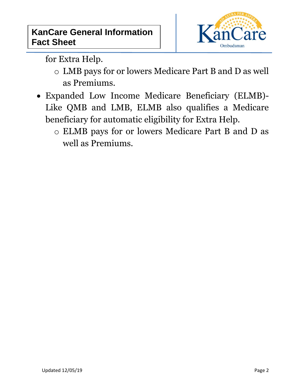

for Extra Help.

- o LMB pays for or lowers Medicare Part B and D as well as Premiums.
- Expanded Low Income Medicare Beneficiary (ELMB)- Like QMB and LMB, ELMB also qualifies a Medicare beneficiary for automatic eligibility for Extra Help.
	- o ELMB pays for or lowers Medicare Part B and D as well as Premiums.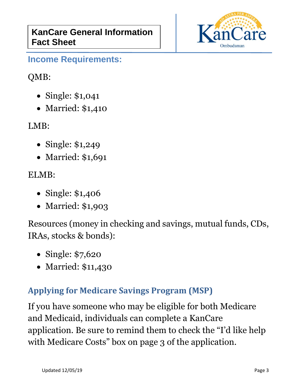

#### **Income Requirements:**

### QMB:

- Single: \$1,041
- Married: \$1,410

LMB:

- Single: \$1,249
- Married: \$1,691

#### ELMB:

- Single: \$1,406
- Married: \$1,903

Resources (money in checking and savings, mutual funds, CDs, IRAs, stocks & bonds):

- Single: \$7,620
- Married: \$11,430

### **Applying for Medicare Savings Program (MSP)**

If you have someone who may be eligible for both Medicare and Medicaid, individuals can complete a KanCare application. Be sure to remind them to check the "I'd like help with Medicare Costs" box on page 3 of the application.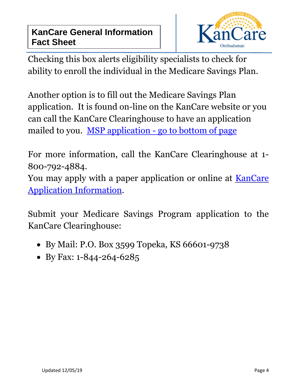

Checking this box alerts eligibility specialists to check for ability to enroll the individual in the Medicare Savings Plan.

Another option is to fill out the Medicare Savings Plan application. It is found on-line on the KanCare website or you can call the KanCare Clearinghouse to have an application mailed to you. MSP application - [go to bottom of page](http://www.kancare.ks.gov/consumers/apply-for-kancare)

For more information, call the KanCare Clearinghouse at 1- 800-792-4884.

You may apply with a paper application or online at KanCare [Application Information.](file://///ADFileServices/Commissions/SEC/KanCare%20Ombudsman/1%20Volunteer%20Shared%20Drive%2011-13-18/3%20Office%20Forms/2%20Coordinators%20-%20office%20forms/9%20Resources/17%20KanCare%20General%20Information%20Fact%20Sheets/Approved%20Finals%20Drafts/KanCare%20Application%20Information)

Submit your Medicare Savings Program application to the KanCare Clearinghouse:

- By Mail: P.O. Box 3599 Topeka, KS 66601-9738
- By Fax: 1-844-264-6285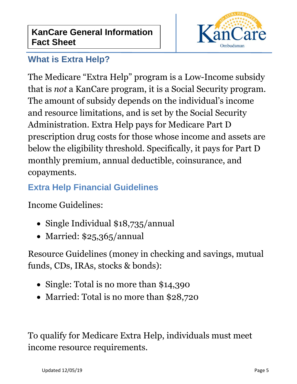

### **What is Extra Help?**

The Medicare "Extra Help" program is a Low-Income subsidy that is *not* a KanCare program, it is a Social Security program. The amount of subsidy depends on the individual's income and resource limitations, and is set by the Social Security Administration. Extra Help pays for Medicare Part D prescription drug costs for those whose income and assets are below the eligibility threshold. Specifically, it pays for Part D monthly premium, annual deductible, coinsurance, and copayments.

# **Extra Help Financial Guidelines**

Income Guidelines:

- Single Individual \$18,735/annual
- Married: \$25,365/annual

Resource Guidelines (money in checking and savings, mutual funds, CDs, IRAs, stocks & bonds):

- Single: Total is no more than \$14,390
- Married: Total is no more than \$28,720

To qualify for Medicare Extra Help, individuals must meet income resource requirements.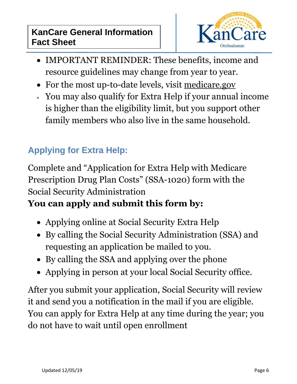#### **KanCare General Information Fact Sheet**



- IMPORTANT REMINDER: These benefits, income and resource guidelines may change from year to year.
- For the most up-to-date levels, visit [medicare.gov](http://medicare.gov/)
- You may also qualify for Extra Help if your annual income is higher than the eligibility limit, but you support other family members who also live in the same household.

## **Applying for Extra Help:**

Complete and "Application for Extra Help with Medicare Prescription Drug Plan Costs" (SSA-1020) form with the Social Security Administration

## **You can apply and submit this form by:**

- Applying online at [Social Security Extra Help](http://www.socialsecurity.gov/extrahelp)
- By calling the Social Security Administration (SSA) and requesting an application be mailed to you.
- By calling the SSA and applying over the phone
- Applying in person at your local Social Security office.

After you submit your application, Social Security will review it and send you a notification in the mail if you are eligible. You can apply for Extra Help at any time during the year; you do not have to wait until open enrollment